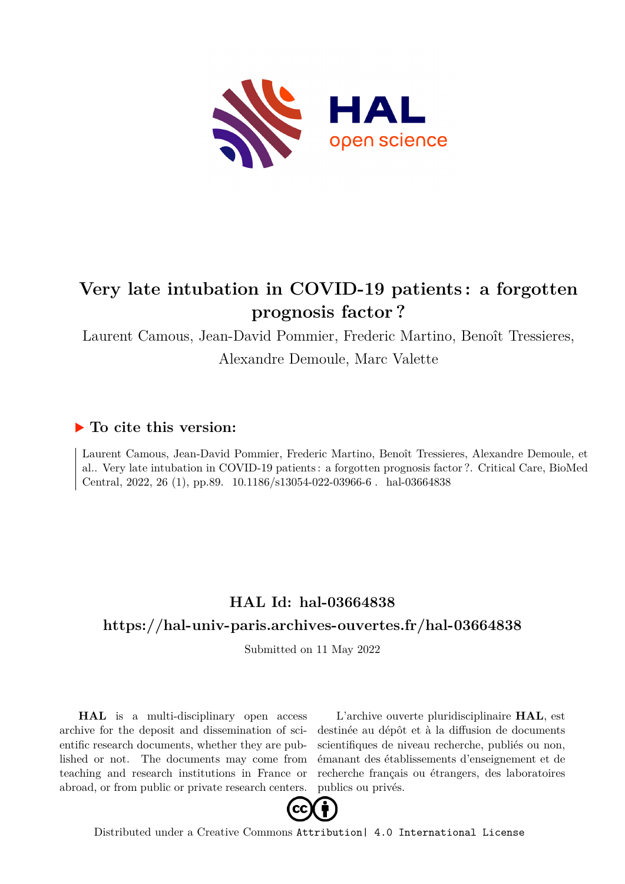

# **Very late intubation in COVID-19 patients : a forgotten prognosis factor ?**

Laurent Camous, Jean-David Pommier, Frederic Martino, Benoît Tressieres,

Alexandre Demoule, Marc Valette

## **To cite this version:**

Laurent Camous, Jean-David Pommier, Frederic Martino, Benoît Tressieres, Alexandre Demoule, et al.. Very late intubation in COVID-19 patients : a forgotten prognosis factor ?. Critical Care, BioMed Central, 2022, 26 (1), pp.89. 10.1186/s13054-022-03966-6. hal-03664838

# **HAL Id: hal-03664838 <https://hal-univ-paris.archives-ouvertes.fr/hal-03664838>**

Submitted on 11 May 2022

**HAL** is a multi-disciplinary open access archive for the deposit and dissemination of scientific research documents, whether they are published or not. The documents may come from teaching and research institutions in France or abroad, or from public or private research centers.

L'archive ouverte pluridisciplinaire **HAL**, est destinée au dépôt et à la diffusion de documents scientifiques de niveau recherche, publiés ou non, émanant des établissements d'enseignement et de recherche français ou étrangers, des laboratoires publics ou privés.



Distributed under a Creative Commons [Attribution| 4.0 International License](http://creativecommons.org/licenses/by/4.0/)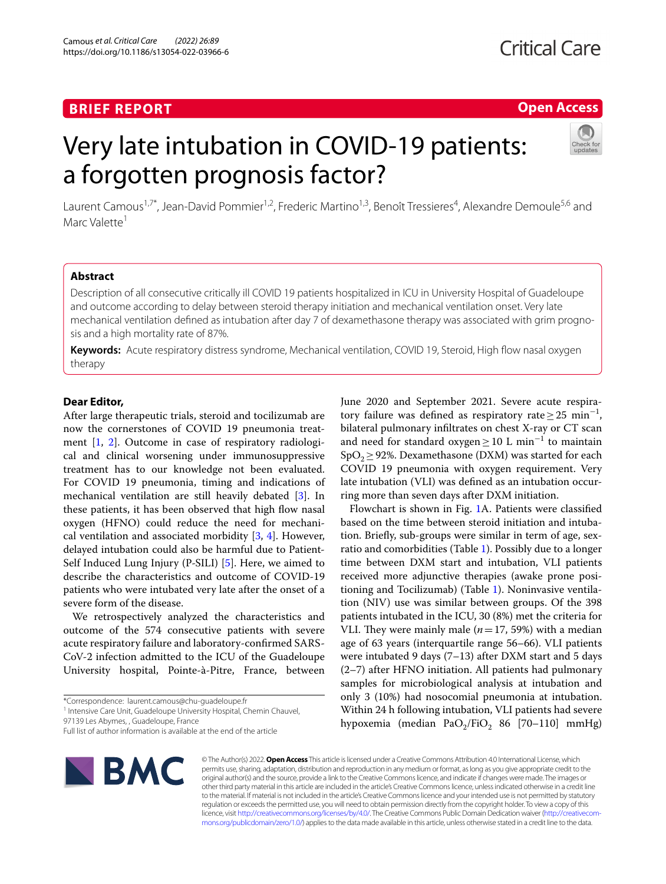## **BRIEF REPORT**

### **Open Access**

# Very late intubation in COVID-19 patients: a forgotten prognosis factor?



Laurent Camous<sup>1,7\*</sup>, Jean-David Pommier<sup>1,2</sup>, Frederic Martino<sup>1,3</sup>, Benoît Tressieres<sup>4</sup>, Alexandre Demoule<sup>5,6</sup> and Marc Valette<sup>1</sup>

### **Abstract**

Description of all consecutive critically ill COVID 19 patients hospitalized in ICU in University Hospital of Guadeloupe and outcome according to delay between steroid therapy initiation and mechanical ventilation onset. Very late mechanical ventilation defined as intubation after day 7 of dexamethasone therapy was associated with grim prognosis and a high mortality rate of 87%.

**Keywords:** Acute respiratory distress syndrome, Mechanical ventilation, COVID 19, Steroid, High fow nasal oxygen therapy

#### **Dear Editor,**

After large therapeutic trials, steroid and tocilizumab are now the cornerstones of COVID 19 pneumonia treatment [1, 2]. Outcome in case of respiratory radiological and clinical worsening under immunosuppressive treatment has to our knowledge not been evaluated. For COVID 19 pneumonia, timing and indications of mechanical ventilation are still heavily debated [3]. In these patients, it has been observed that high flow nasal oxygen (HFNO) could reduce the need for mechanical ventilation and associated morbidity [3, 4]. However, delayed intubation could also be harmful due to Patient-Self Induced Lung Injury (P-SILI) [5]. Here, we aimed to describe the characteristics and outcome of COVID-19 patients who were intubated very late after the onset of a severe form of the disease.

We retrospectively analyzed the characteristics and outcome of the 574 consecutive patients with severe acute respiratory failure and laboratory-confrmed SARS-CoV-2 infection admitted to the ICU of the Guadeloupe University hospital, Pointe-à-Pitre, France, between

<sup>1</sup> Intensive Care Unit, Guadeloupe University Hospital, Chemin Chauvel,

97139 Les Abymes, , Guadeloupe, France

June 2020 and September 2021. Severe acute respiratory failure was defined as respiratory rate  $\geq$  25 min<sup>-1</sup>, bilateral pulmonary infltrates on chest X-ray or CT scan and need for standard oxygen≥10 L min−<sup>1</sup> to maintain  $SpO<sub>2</sub>$   $\geq$  92%. Dexamethasone (DXM) was started for each COVID 19 pneumonia with oxygen requirement. Very late intubation (VLI) was defned as an intubation occurring more than seven days after DXM initiation.

Flowchart is shown in Fig. 1A. Patients were classifed based on the time between steroid initiation and intubation. Briefy, sub-groups were similar in term of age, sexratio and comorbidities (Table 1). Possibly due to a longer time between DXM start and intubation, VLI patients received more adjunctive therapies (awake prone positioning and Tocilizumab) (Table 1). Noninvasive ventilation (NIV) use was similar between groups. Of the 398 patients intubated in the ICU, 30 (8%) met the criteria for VLI. They were mainly male  $(n=17, 59%)$  with a median age of 63 years (interquartile range 56–66). VLI patients were intubated 9 days (7–13) after DXM start and 5 days (2–7) after HFNO initiation. All patients had pulmonary samples for microbiological analysis at intubation and only 3 (10%) had nosocomial pneumonia at intubation. Within 24 h following intubation, VLI patients had severe hypoxemia (median Pa $O_2$ /Fi $O_2$  86 [70–110] mmHg)



© The Author(s) 2022. **Open Access** This article is licensed under a Creative Commons Attribution 4.0 International License, which permits use, sharing, adaptation, distribution and reproduction in any medium or format, as long as you give appropriate credit to the original author(s) and the source, provide a link to the Creative Commons licence, and indicate if changes were made. The images or other third party material in this article are included in the article's Creative Commons licence, unless indicated otherwise in a credit line to the material. If material is not included in the article's Creative Commons licence and your intended use is not permitted by statutory regulation or exceeds the permitted use, you will need to obtain permission directly from the copyright holder. To view a copy of this licence, visit [http://creativecommons.org/licenses/by/4.0/.](http://creativecommons.org/licenses/by/4.0/) The Creative Commons Public Domain Dedication waiver (http://creativecom· [mons.org/publicdomain/zero/1.0/\)](http://creativecommons.org/publicdomain/zero/1.0/) applies to the data made available in this article, unless otherwise stated in a credit line to the data.

<sup>\*</sup>Correspondence: laurent.camous@chu-guadeloupe.fr

Full list of author information is available at the end of the article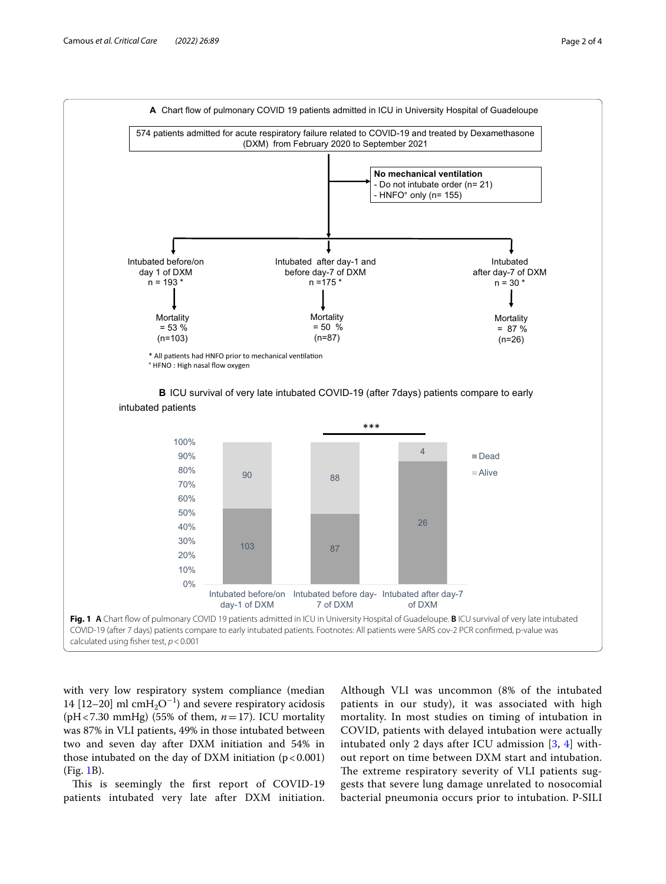

with very low respiratory system compliance (median 14 [12−20] ml cmH<sub>2</sub>O<sup>-1</sup>) and severe respiratory acidosis (pH<7.30 mmHg) (55% of them, *n*=17). ICU mortality was 87% in VLI patients, 49% in those intubated between two and seven day after DXM initiation and 54% in those intubated on the day of DXM initiation  $(p < 0.001)$ (Fig. 1B).

This is seemingly the first report of COVID-19 patients intubated very late after DXM initiation.

Although VLI was uncommon (8% of the intubated patients in our study), it was associated with high mortality. In most studies on timing of intubation in COVID, patients with delayed intubation were actually intubated only 2 days after ICU admission [3, 4] without report on time between DXM start and intubation. The extreme respiratory severity of VLI patients suggests that severe lung damage unrelated to nosocomial bacterial pneumonia occurs prior to intubation. P-SILI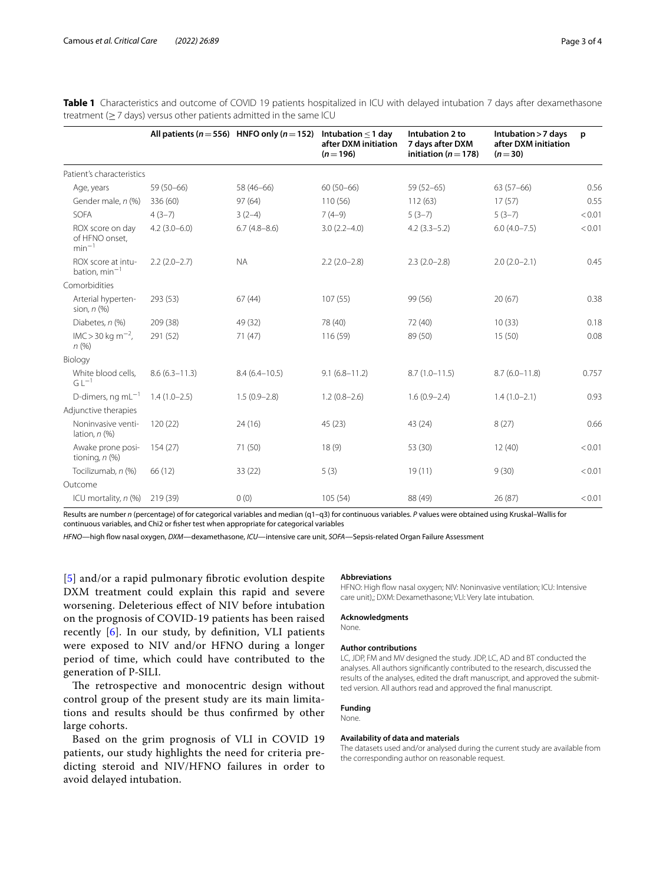|                                                                       | <b>Table 1</b> Characteristics and outcome of COVID 19 patients hospitalized in ICU with delayed intubation 7 days after dexamethasone |  |
|-----------------------------------------------------------------------|----------------------------------------------------------------------------------------------------------------------------------------|--|
| treatment $(> 7$ days) versus other patients admitted in the same ICU |                                                                                                                                        |  |

|                                               |                   | All patients ( $n = 556$ ) HNFO only ( $n = 152$ ) | Intubation $\leq$ 1 day<br>after DXM initiation<br>$(n=196)$ | Intubation 2 to<br>7 days after DXM<br>initiation ( $n = 178$ ) | Intubation > 7 days<br>after DXM initiation<br>$(n=30)$ | p      |
|-----------------------------------------------|-------------------|----------------------------------------------------|--------------------------------------------------------------|-----------------------------------------------------------------|---------------------------------------------------------|--------|
| Patient's characteristics                     |                   |                                                    |                                                              |                                                                 |                                                         |        |
| Age, years                                    | 59 (50-66)        | 58 (46-66)                                         | $60(50-66)$                                                  | $59(52-65)$                                                     | $63(57-66)$                                             | 0.56   |
| Gender male, n (%)                            | 336 (60)          | 97(64)                                             | 110(56)                                                      | 112(63)                                                         | 17(57)                                                  | 0.55   |
| <b>SOFA</b>                                   | $4(3-7)$          | $3(2-4)$                                           | $7(4-9)$                                                     | $5(3-7)$                                                        | $5(3-7)$                                                | < 0.01 |
| ROX score on day<br>of HFNO onset,<br>$min-1$ | $4.2(3.0-6.0)$    | $6.7(4.8-8.6)$                                     | $3.0(2.2 - 4.0)$                                             | $4.2(3.3-5.2)$                                                  | $6.0(4.0 - 7.5)$                                        | < 0.01 |
| ROX score at intu-<br>bation, $min^{-1}$      | $2.2(2.0-2.7)$    | <b>NA</b>                                          | $2.2(2.0-2.8)$                                               | $2.3(2.0-2.8)$                                                  | $2.0(2.0-2.1)$                                          | 0.45   |
| Comorbidities                                 |                   |                                                    |                                                              |                                                                 |                                                         |        |
| Arterial hyperten-<br>sion, $n$ $(\%)$        | 293 (53)          | 67(44)                                             | 107(55)                                                      | 99 (56)                                                         | 20(67)                                                  | 0.38   |
| Diabetes, n (%)                               | 209 (38)          | 49 (32)                                            | 78 (40)                                                      | 72 (40)                                                         | 10(33)                                                  | 0.18   |
| $IMC > 30$ kg m <sup>-2</sup> ,<br>n(%)       | 291 (52)          | 71(47)                                             | 116 (59)                                                     | 89 (50)                                                         | 15(50)                                                  | 0.08   |
| Biology                                       |                   |                                                    |                                                              |                                                                 |                                                         |        |
| White blood cells,<br>$G L^{-1}$              | $8.6(6.3 - 11.3)$ | $8.4(6.4 - 10.5)$                                  | $9.1(6.8 - 11.2)$                                            | $8.7(1.0 - 11.5)$                                               | $8.7(6.0 - 11.8)$                                       | 0.757  |
| D-dimers, ng m $L^{-1}$                       | $1.4(1.0-2.5)$    | $1.5(0.9 - 2.8)$                                   | $1.2(0.8-2.6)$                                               | $1.6(0.9 - 2.4)$                                                | $1.4(1.0-2.1)$                                          | 0.93   |
| Adjunctive therapies                          |                   |                                                    |                                                              |                                                                 |                                                         |        |
| Noninvasive venti-<br>lation, $n$ (%)         | 120(22)           | 24 (16)                                            | 45 (23)                                                      | 43 (24)                                                         | 8(27)                                                   | 0.66   |
| Awake prone posi-<br>tioning, $n$ (%)         | 154(27)           | 71 (50)                                            | 18(9)                                                        | 53 (30)                                                         | 12(40)                                                  | < 0.01 |
| Tocilizumab, n (%)                            | 66 (12)           | 33(22)                                             | 5(3)                                                         | 19(11)                                                          | 9(30)                                                   | < 0.01 |
| Outcome                                       |                   |                                                    |                                                              |                                                                 |                                                         |        |
| ICU mortality, n (%)                          | 219 (39)          | 0(0)                                               | 105(54)                                                      | 88 (49)                                                         | 26(87)                                                  | < 0.01 |

Results are number *n* (percentage) of for categorical variables and median (q1–q3) for continuous variables. *P* values were obtained using Kruskal–Wallis for continuous variables, and Chi2 or fsher test when appropriate for categorical variables

*HFNO*—high fow nasal oxygen, *DXM*—dexamethasone, *ICU*—intensive care unit, *SOFA*—Sepsis-related Organ Failure Assessment

[5] and/or a rapid pulmonary fbrotic evolution despite DXM treatment could explain this rapid and severe worsening. Deleterious efect of NIV before intubation on the prognosis of COVID-19 patients has been raised recently [6]. In our study, by defnition, VLI patients were exposed to NIV and/or HFNO during a longer period of time, which could have contributed to the generation of P-SILI.

The retrospective and monocentric design without control group of the present study are its main limitations and results should be thus confrmed by other large cohorts.

Based on the grim prognosis of VLI in COVID 19 patients, our study highlights the need for criteria predicting steroid and NIV/HFNO failures in order to avoid delayed intubation.

#### **Abbreviations**

HFNO: High fow nasal oxygen; NIV: Noninvasive ventilation; ICU: Intensive care unit),; DXM: Dexamethasone; VLI: Very late intubation.

#### **Acknowledgments**

None.

#### **Author contributions**

LC, JDP, FM and MV designed the study. JDP, LC, AD and BT conducted the analyses. All authors signifcantly contributed to the research, discussed the results of the analyses, edited the draft manuscript, and approved the submitted version. All authors read and approved the fnal manuscript.

#### **Funding**

None.

#### **Availability of data and materials**

The datasets used and/or analysed during the current study are available from the corresponding author on reasonable request.